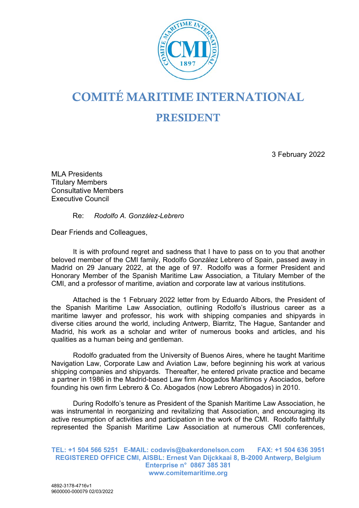

## **COMITÉ MARITIME INTERNATIONAL PRESIDENT**

3 February 2022

MLA Presidents Titulary Members Consultative Members Executive Council

Re: *Rodolfo A. González-Lebrero*

Dear Friends and Colleagues,

It is with profound regret and sadness that I have to pass on to you that another beloved member of the CMI family, Rodolfo González Lebrero of Spain, passed away in Madrid on 29 January 2022, at the age of 97. Rodolfo was a former President and Honorary Member of the Spanish Maritime Law Association, a Titulary Member of the CMI, and a professor of maritime, aviation and corporate law at various institutions.

Attached is the 1 February 2022 letter from by Eduardo Albors, the President of the Spanish Maritime Law Association, outlining Rodolfo's illustrious career as a maritime lawyer and professor, his work with shipping companies and shipyards in diverse cities around the world, including Antwerp, Biarritz, The Hague, Santander and Madrid, his work as a scholar and writer of numerous books and articles, and his qualities as a human being and gentleman.

Rodolfo graduated from the University of Buenos Aires, where he taught Maritime Navigation Law, Corporate Law and Aviation Law, before beginning his work at various shipping companies and shipyards. Thereafter, he entered private practice and became a partner in 1986 in the Madrid-based Law firm Abogados Marítimos y Asociados, before founding his own firm Lebrero & Co. Abogados (now Lebrero Abogados) in 2010.

During Rodolfo's tenure as President of the Spanish Maritime Law Association, he was instrumental in reorganizing and revitalizing that Association, and encouraging its active resumption of activities and participation in the work of the CMI. Rodolfo faithfully represented the Spanish Maritime Law Association at numerous CMI conferences,

**TEL: +1 504 566 5251 E-MAIL: codavis@bakerdonelson.com FAX: +1 504 636 3951 REGISTERED OFFICE CMI, AISBL: Ernest Van Dijckkaai 8, B-2000 Antwerp, Belgium Enterprise n° 0867 385 381 www.comitemaritime.org**